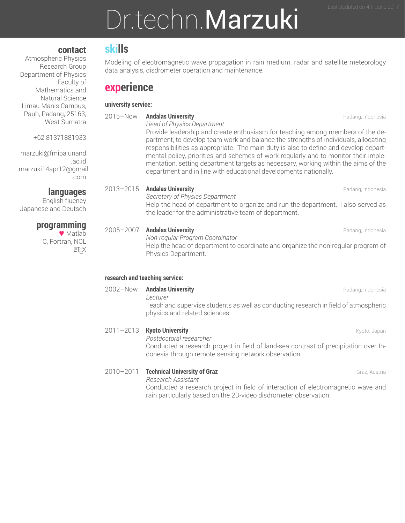# Dr.techn.Marzuki

#### **contact**

Atmospheric Physics Research Group Department of Physics Faculty of Mathematics and Natural Science Limau Manis Campus, Pauh, Padang, 25163, West Sumatra

+62 81371881933

marzuki@fmipa.unand .ac.id marzuki14apr12@gmail .com

**languages**

English fluency Japanese and Deutsch

### **programming**

● Matlab C, Fortran, NCL LATEX

### **skills**

Modeling of electromagnetic wave propagation in rain medium, radar and satellite meteorology data analysis, disdrometer operation and maintenance.

### **experience**

#### **university service:**

2015–Now **Andalas University** Padang, Indonesia *Head of Physics Department* Provide leadership and create enthusiasm for teaching among members of the department, to develop team work and balance the strengths of individuals, allocating responsibilities as appropriate. The main duty is also to define and develop departmental policy, priorities and schemes of work regularly and to monitor their implementation, setting department targets as necessary, working within the aims of the department and in line with educational developments nationally. 2013–2015 **Andalas University** Padang, Indonesia *Secretary of Physics Department* Help the head of department to organize and run the department. I also served as the leader for the administrative team of department. 2005–2007 **Andalas University** Padang, Indonesia *Non-regular Program Coordinator* Help the head of department to coordinate and organize the non-regular program of Physics Department. **research and teaching service:** 2002–Now **Andalas University** Padang, Indonesia *Lecturer* Teach and supervise students as well as conducting research in field of atmospheric physics and related sciences.

### 2011–2013 **Kyoto University Kyoto, Japan** Kyoto, Japan

*Postdoctoral researcher* Conducted a research project in field of land-sea contrast of precipitation over Indonesia through remote sensing network observation.

#### **2010–2011 Technical University of Graz** Graz **Graz Graz** Graz, Austria

*Research Assistant*

Conducted a research project in field of interaction of electromagnetic wave and rain particularly based on the 2D-video disdrometer observation.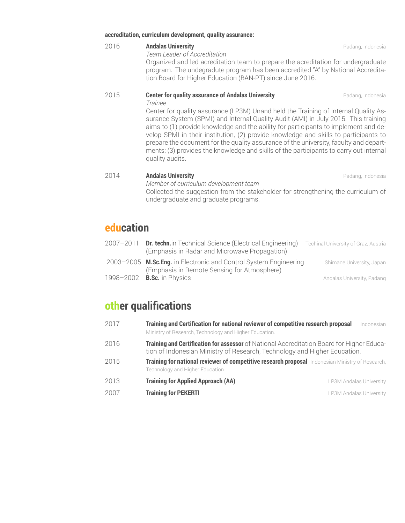#### **accreditation, curriculum development, quality assurance:**

#### 2016 **Andalas University** Padang, Indonesia

*Team Leader of Accreditation* Organized and led acreditation team to prepare the acreditation for undergraduate program. The undegradute program has been accredited "A" by National Accreditation Board for Higher Education (BAN-PT) since June 2016.

#### **2015 <b>Center for quality assurance of Andalas University Padang, Indonesia**

*Trainee*

Center for quality assurance (LP3M) Unand held the Training of Internal Quality Assurance System (SPMI) and Internal Quality Audit (AMI) in July 2015. This training aims to (1) provide knowledge and the ability for participants to implement and develop SPMI in their institution, (2) provide knowledge and skills to participants to prepare the document for the quality assurance of the university, faculty and departments; (3) provides the knowledge and skills of the participants to carry out internal quality audits.

#### 2014 **Andalas University** Padang, Indonesia

*Member of curriculum development team* Collected the suggestion from the stakeholder for strengthening the curriculum of undergraduate and graduate programs.

### **education**

| 2007-2011 | <b>Dr. techn.</b> in Technical Science (Electrical Engineering)<br>(Emphasis in Radar and Microwave Propagation) | Techinal University of Graz, Austria |
|-----------|------------------------------------------------------------------------------------------------------------------|--------------------------------------|
|           | 2003-2005 M.Sc.Eng. in Electronic and Control System Engineering<br>(Emphasis in Remote Sensing for Atmosphere)  | Shimane University, Japan            |
| 1998-2002 | <b>B.Sc.</b> in Physics                                                                                          | Andalas University, Padang           |

### **other qualifications**

| 2017 | Training and Certification for national reviewer of competitive research proposal<br>Ministry of Research, Technology and Higher Education.                            | Indonesian |
|------|------------------------------------------------------------------------------------------------------------------------------------------------------------------------|------------|
| 2016 | Training and Certification for assessor of National Accreditation Board for Higher Educa-<br>tion of Indonesian Ministry of Research, Technology and Higher Education. |            |
| 2015 | Training for national reviewer of competitive research proposal Indonesian Ministry of Research,<br>Technology and Higher Education.                                   |            |
| 2013 | <b>Training for Applied Approach (AA)</b><br>LP3M Andalas University                                                                                                   |            |
| 2007 | <b>Training for PEKERTI</b><br>LP3M Andalas University                                                                                                                 |            |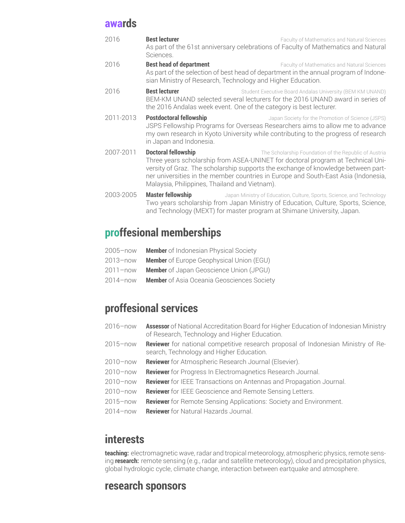### **awards**

| 2016      | <b>Best lecturer</b><br>Sciences.                                                                                                                                                                                                        | Faculty of Mathematics and Natural Sciences<br>As part of the 61st anniversary celebrations of Faculty of Mathematics and Natural                                                                                                                                                                                   |
|-----------|------------------------------------------------------------------------------------------------------------------------------------------------------------------------------------------------------------------------------------------|---------------------------------------------------------------------------------------------------------------------------------------------------------------------------------------------------------------------------------------------------------------------------------------------------------------------|
| 2016      | <b>Best head of department</b><br>sian Ministry of Research, Technology and Higher Education.                                                                                                                                            | Faculty of Mathematics and Natural Sciences<br>As part of the selection of best head of department in the annual program of Indone-                                                                                                                                                                                 |
| 2016      | <b>Best lecturer</b><br>Student Executive Board Andalas University (BEM KM UNAND)<br>BEM-KM UNAND selected several lecturers for the 2016 UNAND award in series of<br>the 2016 Andalas week event. One of the category is best lecturer. |                                                                                                                                                                                                                                                                                                                     |
| 2011-2013 | <b>Postdoctoral fellowship</b><br>in Japan and Indonesia.                                                                                                                                                                                | Japan Society for the Promotion of Science (JSPS)<br>JSPS Fellowship Programs for Overseas Researchers aims to allow me to advance<br>my own research in Kyoto University while contributing to the progress of research                                                                                            |
| 2007-2011 | <b>Doctoral fellowship</b><br>Malaysia, Philippines, Thailand and Vietnam).                                                                                                                                                              | The Scholarship Foundation of the Republic of Austria<br>Three years scholarship from ASEA-UNINET for doctoral program at Technical Uni-<br>versity of Graz. The scholarship supports the exchange of knowledge between part-<br>ner universities in the member countries in Europe and South-East Asia (Indonesia, |
| 2003-2005 | <b>Master fellowship</b>                                                                                                                                                                                                                 | Japan Ministry of Education, Culture, Sports, Science, and Technology<br>Two years scholarship from Japan Ministry of Education, Culture, Sports, Science,<br>and Technology (MEXT) for master program at Shimane University, Japan.                                                                                |

## **proffesional memberships**

| <b>Member</b> of Indonesian Physical Society |
|----------------------------------------------|
|                                              |

- 2013–now **Member** of Europe Geophysical Union (EGU)
- 2011–now **Member** of Japan Geoscience Union (JPGU)
- 2014–now **Member** of Asia Oceania Geosciences Society

## **proffesional services**

| 2016-now | <b>Assessor</b> of National Accreditation Board for Higher Education of Indonesian Ministry<br>of Research, Technology and Higher Education. |  |
|----------|----------------------------------------------------------------------------------------------------------------------------------------------|--|
| 2015-now | <b>Reviewer</b> for national competitive research proposal of Indonesian Ministry of Re-<br>search, Technology and Higher Education.         |  |
| 2010-now | <b>Reviewer</b> for Atmospheric Research Journal (Elsevier).                                                                                 |  |
| 2010-now | <b>Reviewer</b> for Progress In Electromagnetics Research Journal.                                                                           |  |
| 2010-now | <b>Reviewer</b> for IEEE Transactions on Antennas and Propagation Journal.                                                                   |  |
| 2010-now | <b>Reviewer</b> for IEEE Geoscience and Remote Sensing Letters.                                                                              |  |
| 2015-now | <b>Reviewer</b> for Remote Sensing Applications: Society and Environment.                                                                    |  |
| 2014-now | <b>Reviewer</b> for Natural Hazards Journal.                                                                                                 |  |

### **interests**

**teaching:** electromagnetic wave, radar and tropical meteorology, atmospheric physics, remote sensing **research:** remote sensing (e.g., radar and satellite meteorology), cloud and precipitation physics, global hydrologic cycle, climate change, interaction between eartquake and atmosphere.

### **research sponsors**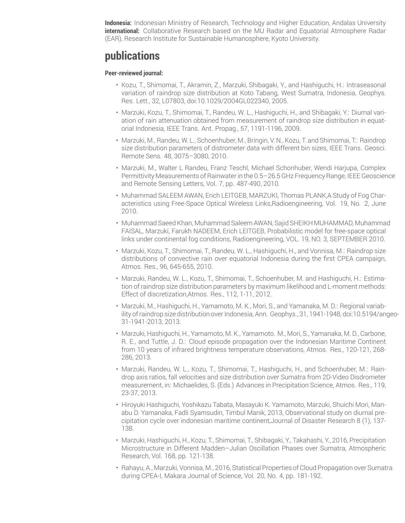**Indonesia:** Indonesian Ministry of Research, Technology and Higher Education, Andalas University **international:** Collaborative Research based on the MU Radar and Equatorial Atmosphere Radar (EAR), Research Institute for Sustainable Humanosphere, Kyoto University.

### **publications**

#### **Peer-reviewed journal:**

- Kozu, T., Shimomai, T., Akramin, Z., Marzuki, Shibagaki, Y., and Hashiguchi, H.: Intraseasonal variation of raindrop size distribution at Koto Tabang, West Sumatra, Indonesia, Geophys. Res. Lett., 32, L07803, doi:10.1029/2004GL022340, 2005.
- Marzuki, Kozu, T., Shimomai, T., Randeu, W. L., Hashiguchi, H., and Shibagaki, Y.: Diurnal variation of rain attenuation obtained from measurement of raindrop size distribution in equatorial Indonesia, IEEE Trans. Ant. Propag., 57, 1191-1196, 2009.
- Marzuki, M., Randeu, W. L., Schoenhuber, M., Bringin, V. N., Kozu, T. and Shimomai, T.: Raindrop size distribution parameters of distrometer data with different bin sizes, IEEE Trans. Geosci. Remote Sens. 48, 3075–3080, 2010.
- Marzuki, M., Walter L Randeu, Franz Teschl, Michael Schonhuber, Wendi Harjupa, Complex Permittivity Measurements of Rainwater in the 0.5–26.5 GHz Frequency Range, IEEE Geoscience and Remote Sensing Letters, Vol. 7, pp. 487-490, 2010.
- Muhammad SALEEM AWAN, Erich LEITGEB, MARZUKI, Thomas PLANK,A Study of Fog Characteristics using Free-Space Optical Wireless Links,Radioengineering, Vol. 19, No. 2, June 2010.
- Muhammad Saeed Khan, Muhammad Saleem AWAN, Sajid SHEIKH MUHAMMAD, Muhammad FAISAL, Marzuki, Farukh NADEEM, Erich LEITGEB, Probabilistic model for free-space optical links under continental fog conditions, Radioengineering, VOL. 19, NO. 3, SEPTEMBER 2010.
- Marzuki, Kozu, T., Shimomai, T., Randeu, W. L., Hashiguchi, H., and Vonnisa, M.: Raindrop size distributions of convective rain over equatorial Indonesia during the first CPEA campaign, Atmos. Res., 96, 645-655, 2010.
- Marzuki, Randeu, W. L., Kozu, T., Shimomai, T., Schoenhuber, M. and Hashiguchi, H.: Estimation of raindrop size distribution parameters by maximum likelihood and L-moment methods: Effect of discretization,Atmos. Res., 112, 1-11, 2012.
- Marzuki, M., Hashiguchi, H., Yamamoto, M. K., Mori, S., and Yamanaka, M. D.: Regional variability of raindrop size distribution over Indonesia, Ann. Geophys., 31, 1941-1948, doi:10.5194/angeo-31-1941-2013, 2013.
- Marzuki, Hashiguchi, H., Yamamoto, M. K., Yamamoto. M., Mori, S., Yamanaka, M. D., Carbone, R. E., and Tuttle, J. D.: Cloud episode propagation over the Indonesian Maritime Continent from 10 years of infrared brightness temperature observations, Atmos. Res., 120-121, 268- 286, 2013.
- Marzuki, Randeu, W. L., Kozu, T., Shimomai, T., Hashiguchi, H., and Schoenhuber, M.: Raindrop axis ratios, fall velocities and size distribution over Sumatra from 2D-Video Disdrometer measurement, in: Michaelides, S. (Eds.) Advances in Precipitation Science, Atmos. Res., 119, 23-37, 2013.
- Hiroyuki Hashiguchi, Yoshikazu Tabata, Masayuki K. Yamamoto, Marzuki, Shuichi Mori, Manabu D. Yamanaka, Fadli Syamsudin, Timbul Manik, 2013, Observational study on diurnal precipitation cycle over indonesian maritime continent,Journal of Disaster Research 8 (1), 137- 138.
- Marzuki, Hashiguchi, H., Kozu, T., Shimomai, T., Shibagaki, Y., Takahashi, Y., 2016, Precipitation Microstructure in Different Madden–Julian Oscillation Phases over Sumatra, Atmospheric Research, Vol. 168, pp. 121-138.
- Rahayu, A., Marzuki, Vonnisa, M., 2016, Statistical Properties of Cloud Propagation over Sumatra during CPEA-I, Makara Journal of Science, Vol. 20, No. 4, pp. 181-192.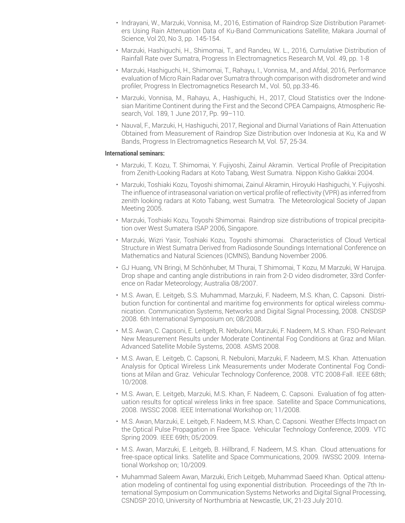- Indrayani, W., Marzuki, Vonnisa, M., 2016, Estimation of Raindrop Size Distribution Parameters Using Rain Attenuation Data of Ku-Band Communications Satellite, Makara Journal of Science, Vol 20, No 3, pp. 145-154.
- Marzuki, Hashiguchi, H., Shimomai, T., and Randeu, W. L., 2016, Cumulative Distribution of Rainfall Rate over Sumatra, Progress In Electromagnetics Research M, Vol. 49, pp. 1-8
- Marzuki, Hashiguchi, H., Shimomai, T., Rahayu, I., Vonnisa, M., and Afdal, 2016, Performance evaluation of Micro Rain Radar over Sumatra through comparison with disdrometer and wind profiler, Progress In Electromagnetics Research M., Vol. 50, pp.33-46.
- Marzuki, Vonnisa, M., Rahayu, A., Hashiguchi, H., 2017, Cloud Statistics over the Indonesian Maritime Continent during the First and the Second CPEA Campaigns, Atmospheric Research, Vol. 189, 1 June 2017, Pp. 99–110.
- Nauval, F., Marzuki, H, Hashiguchi, 2017, Regional and Diurnal Variations of Rain Attenuation Obtained from Measurement of Raindrop Size Distribution over Indonesia at Ku, Ka and W Bands, Progress In Electromagnetics Research M, Vol. 57, 25-34.

#### **International seminars:**

- Marzuki, T. Kozu, T. Shimomai, Y. Fujiyoshi, Zainul Akramin. Vertical Profile of Precipitation from Zenith-Looking Radars at Koto Tabang, West Sumatra. Nippon Kisho Gakkai 2004.
- Marzuki, Toshiaki Kozu, Toyoshi shimomai, Zainul Akramin, Hiroyuki Hashiguchi, Y. Fujiyoshi. The influence of intraseasonal variation on vertical profile of reflectivity (VPR) as inferred from zenith looking radars at Koto Tabang, west Sumatra. The Meteorological Society of Japan Meeting 2005.
- Marzuki, Toshiaki Kozu, Toyoshi Shimomai. Raindrop size distributions of tropical precipitation over West Sumatera ISAP 2006, Singapore.
- Marzuki, Wizri Yasir, Toshiaki Kozu, Toyoshi shimomai. Characteristics of Cloud Vertical Structure in West Sumatra Derived from Radiosonde Soundings International Conference on Mathematics and Natural Sciences (ICMNS), Bandung November 2006.
- GJ Huang, VN Bringi, M Schönhuber, M Thurai, T Shimomai, T Kozu, M Marzuki, W Harujpa. Drop shape and canting angle distributions in rain from 2-D video disdrometer, 33rd Conference on Radar Meteorology; Australia 08/2007.
- M.S. Awan, E. Leitgeb, S.S. Muhammad, Marzuki, F. Nadeem, M.S. Khan, C. Capsoni. Distribution function for continental and maritime fog environments for optical wireless communication. Communication Systems, Networks and Digital Signal Processing, 2008. CNSDSP 2008. 6th International Symposium on; 08/2008.
- M.S. Awan, C. Capsoni, E. Leitgeb, R. Nebuloni, Marzuki, F. Nadeem, M.S. Khan. FSO-Relevant New Measurement Results under Moderate Continental Fog Conditions at Graz and Milan. Advanced Satellite Mobile Systems, 2008. ASMS 2008.
- M.S. Awan, E. Leitgeb, C. Capsoni, R. Nebuloni, Marzuki, F. Nadeem, M.S. Khan. Attenuation Analysis for Optical Wireless Link Measurements under Moderate Continental Fog Conditions at Milan and Graz. Vehicular Technology Conference, 2008. VTC 2008-Fall. IEEE 68th; 10/2008.
- M.S. Awan, E. Leitgeb, Marzuki, M.S. Khan, F. Nadeem, C. Capsoni. Evaluation of fog attenuation results for optical wireless links in free space. Satellite and Space Communications, 2008. IWSSC 2008. IEEE International Workshop on; 11/2008.
- M.S. Awan, Marzuki, E. Leitgeb, F. Nadeem, M.S. Khan, C. Capsoni. Weather Effects Impact on the Optical Pulse Propagation in Free Space. Vehicular Technology Conference, 2009. VTC Spring 2009. IEEE 69th; 05/2009.
- M.S. Awan, Marzuki, E. Leitgeb, B. Hillbrand, F. Nadeem, M.S. Khan. Cloud attenuations for free-space optical links. Satellite and Space Communications, 2009. IWSSC 2009. International Workshop on; 10/2009.
- Muhammad Saleem Awan, Marzuki, Erich Leitgeb, Muhammad Saeed Khan. Optical attenuation modeling of continental fog using exponential distribution. Proceedings of the 7th International Symposium on Communication Systems Networks and Digital Signal Processing, CSNDSP 2010, University of Northumbria at Newcastle, UK, 21-23 July 2010.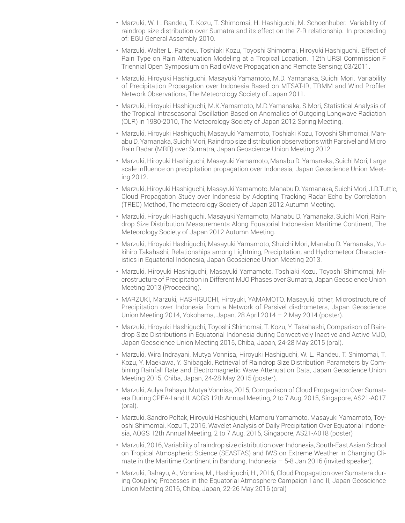- Marzuki, W. L. Randeu, T. Kozu, T. Shimomai, H. Hashiguchi, M. Schoenhuber. Variability of raindrop size distribution over Sumatra and its effect on the Z-R relationship. In proceeding of: EGU General Assembly 2010.
- Marzuki, Walter L. Randeu, Toshiaki Kozu, Toyoshi Shimomai, Hiroyuki Hashiguchi. Effect of Rain Type on Rain Attenuation Modeling at a Tropical Location. 12th URSI CommissionF Triennial Open Symposium on RadioWave Propagation and Remote Sensing; 03/2011.
- Marzuki, Hiroyuki Hashiguchi, Masayuki Yamamoto, M.D. Yamanaka, Suichi Mori. Variability of Precipitation Propagation over Indonesia Based on MTSAT-IR, TRMM and Wind Profiler Network Observations, The Meteorology Society of Japan 2011.
- Marzuki, Hiroyuki Hashiguchi, M.K.Yamamoto, M.D.Yamanaka, S.Mori, Statistical Analysis of the Tropical Intraseasonal Oscillation Based on Anomalies of Outgoing Longwave Radiation (OLR) in 1980-2010, The Meteorology Society of Japan 2012 Spring Meeting.
- Marzuki, Hiroyuki Hashiguchi, Masayuki Yamamoto, Toshiaki Kozu, Toyoshi Shimomai, Manabu D. Yamanaka, Suichi Mori, Raindrop size distribution observations with Parsivel and Micro Rain Radar (MRR) over Sumatra, Japan Geoscience Union Meeting 2012.
- Marzuki, Hiroyuki Hashiguchi, Masayuki Yamamoto, Manabu D. Yamanaka, Suichi Mori, Large scale influence on precipitation propagation over Indonesia, Japan Geoscience Union Meeting 2012.
- Marzuki, Hiroyuki Hashiguchi, Masayuki Yamamoto, ManabuD. Yamanaka, Suichi Mori, J.D.Tuttle, Cloud Propagation Study over Indonesia by Adopting Tracking Radar Echo by Correlation (TREC) Method, The meteorology Society of Japan 2012 Autumn Meeting.
- Marzuki, Hiroyuki Hashiguchi, Masayuki Yamamoto, Manabu D. Yamanaka, Suichi Mori, Raindrop Size Distribution Measurements Along Equatorial Indonesian Maritime Continent, The Meteorology Society of Japan 2012 Autumn Meeting.
- Marzuki, Hiroyuki Hashiguchi, Masayuki Yamamoto, Shuichi Mori, Manabu D. Yamanaka, Yukihiro Takahashi, Relationships among Lightning, Precipitation, and Hydrometeor Characteristics in Equatorial Indonesia, Japan Geoscience Union Meeting 2013.
- Marzuki, Hiroyuki Hashiguchi, Masayuki Yamamoto, Toshiaki Kozu, Toyoshi Shimomai, Microstructure of Precipitation in Different MJO Phases over Sumatra, Japan Geoscience Union Meeting 2013 (Proceeding).
- MARZUKI, Marzuki, HASHIGUCHI, Hiroyuki, YAMAMOTO, Masayuki, other, Microstructure of Precipitation over Indonesia from a Network of Parsivel disdrometers, Japan Geoscience Union Meeting 2014, Yokohama, Japan, 28 April 2014 – 2 May 2014 (poster).
- Marzuki, Hiroyuki Hashiguchi, Toyoshi Shimomai, T. Kozu, Y. Takahashi, Comparison of Raindrop Size Distributions in Equatorial Indonesia during Convectively Inactive and Active MJO, Japan Geoscience Union Meeting 2015, Chiba, Japan, 24-28 May 2015 (oral).
- Marzuki, Wira Indrayani, Mutya Vonnisa, Hiroyuki Hashiguchi, W. L. Randeu, T. Shimomai, T. Kozu, Y. Maekawa, Y. Shibagaki, Retrieval of Raindrop Size Distribution Parameters by Combining Rainfall Rate and Electromagnetic Wave Attenuation Data, Japan Geoscience Union Meeting 2015, Chiba, Japan, 24-28 May 2015 (poster).
- Marzuki, Aulya Rahayu, Mutya Vonnisa, 2015, Comparison of Cloud Propagation Over Sumatera During CPEA-I and II, AOGS 12th Annual Meeting, 2 to 7 Aug, 2015, Singapore, AS21-A017 (oral).
- Marzuki, Sandro Poltak, Hiroyuki Hashiguchi, Mamoru Yamamoto, Masayuki Yamamoto, Toyoshi Shimomai, Kozu T., 2015, Wavelet Analysis of Daily Precipitation Over Equatorial Indonesia, AOGS 12th Annual Meeting, 2 to 7 Aug, 2015, Singapore, AS21-A018 (poster)
- Marzuki, 2016, Variability ofraindrop size distribution overIndonesia, South-East Asian School on Tropical Atmospheric Science (SEASTAS) and IWS on Extreme Weather in Changing Climate in the Maritime Continent in Bandung, Indonesia  $-5$ -8 Jan 2016 (invited speaker).
- Marzuki, Rahayu, A., Vonnisa, M., Hashiguchi, H., 2016, Cloud Propagation over Sumatera during Coupling Processes in the Equatorial Atmosphere Campaign I and II, Japan Geoscience Union Meeting 2016, Chiba, Japan, 22-26 May 2016 (oral)